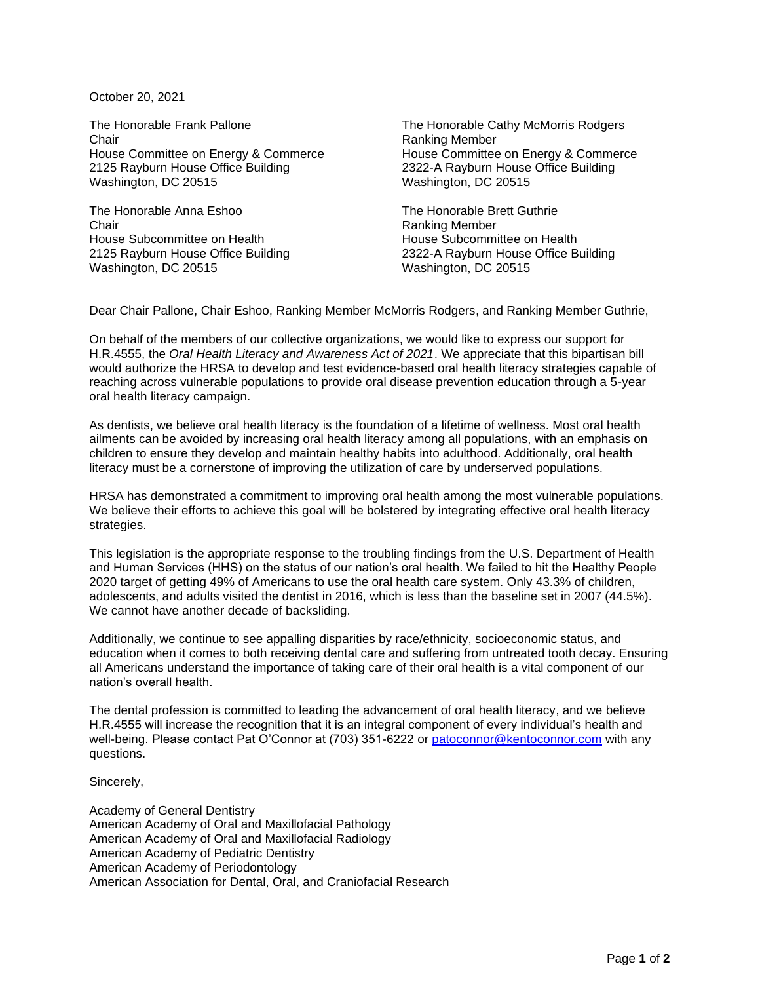October 20, 2021

The Honorable Frank Pallone Chair House Committee on Energy & Commerce 2125 Rayburn House Office Building Washington, DC 20515

The Honorable Anna Eshoo Chair House Subcommittee on Health 2125 Rayburn House Office Building Washington, DC 20515

The Honorable Cathy McMorris Rodgers Ranking Member House Committee on Energy & Commerce 2322-A Rayburn House Office Building Washington, DC 20515

The Honorable Brett Guthrie Ranking Member House Subcommittee on Health 2322-A Rayburn House Office Building Washington, DC 20515

Dear Chair Pallone, Chair Eshoo, Ranking Member McMorris Rodgers, and Ranking Member Guthrie,

On behalf of the members of our collective organizations, we would like to express our support for H.R.4555, the *Oral Health Literacy and Awareness Act of 2021*. We appreciate that this bipartisan bill would authorize the HRSA to develop and test evidence-based oral health literacy strategies capable of reaching across vulnerable populations to provide oral disease prevention education through a 5-year oral health literacy campaign.

As dentists, we believe oral health literacy is the foundation of a lifetime of wellness. Most oral health ailments can be avoided by increasing oral health literacy among all populations, with an emphasis on children to ensure they develop and maintain healthy habits into adulthood. Additionally, oral health literacy must be a cornerstone of improving the utilization of care by underserved populations.

HRSA has demonstrated a commitment to improving oral health among the most vulnerable populations. We believe their efforts to achieve this goal will be bolstered by integrating effective oral health literacy strategies.

This legislation is the appropriate response to the troubling findings from the U.S. Department of Health and Human Services (HHS) on the status of our nation's oral health. We failed to hit the Healthy People 2020 target of getting 49% of Americans to use the oral health care system. Only 43.3% of children, adolescents, and adults visited the dentist in 2016, which is less than the baseline set in 2007 (44.5%). We cannot have another decade of backsliding.

Additionally, we continue to see appalling disparities by race/ethnicity, socioeconomic status, and education when it comes to both receiving dental care and suffering from untreated tooth decay. Ensuring all Americans understand the importance of taking care of their oral health is a vital component of our nation's overall health.

The dental profession is committed to leading the advancement of oral health literacy, and we believe H.R.4555 will increase the recognition that it is an integral component of every individual's health and well-being. Please contact Pat O'Connor at (703) 351-6222 or [patoconnor@kentoconnor.com](mailto:patoconnor@kentoconnor.com) with any questions.

Sincerely,

Academy of General Dentistry American Academy of Oral and Maxillofacial Pathology American Academy of Oral and Maxillofacial Radiology American Academy of Pediatric Dentistry American Academy of Periodontology American Association for Dental, Oral, and Craniofacial Research